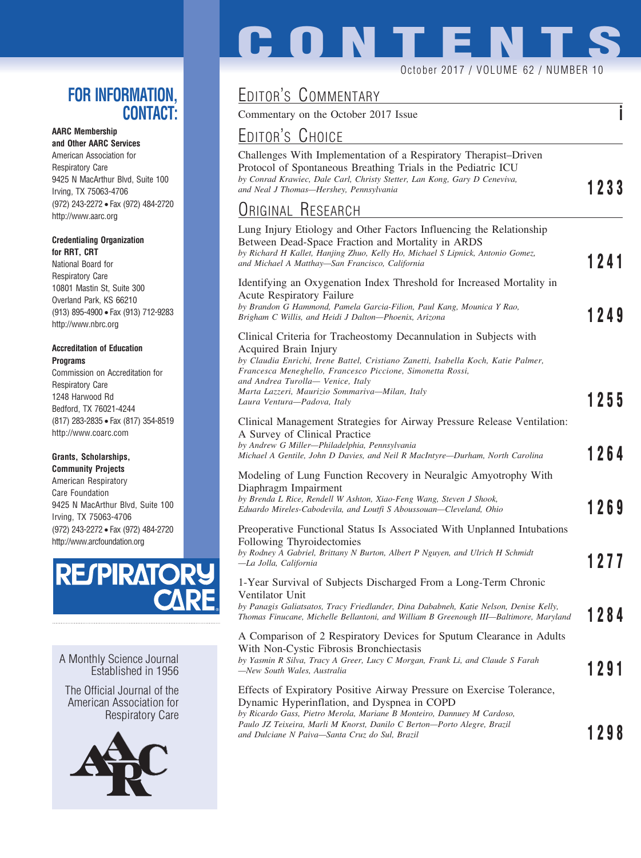## **FOR INFORMATION, CONTACT:**

## **AARC Membership**

**and Other AARC Services** American Association for Respiratory Care 9425 N MacArthur Blvd, Suite 100 Irving, TX 75063-4706 (972) 243-2272 • Fax (972) 484-2720 http://www.aarc.org

### **Credentialing Organization for RRT, CRT**

National Board for Respiratory Care 10801 Mastin St, Suite 300 Overland Park, KS 66210 (913) 895-4900 • Fax (913) 712-9283 http://www.nbrc.org

### **Accreditation of Education Programs**

Commission on Accreditation for Respiratory Care 1248 Harwood Rd Bedford, TX 76021-4244 (817) 283-2835 • Fax (817) 354-8519 http://www.coarc.com

### **Grants, Scholarships,**

**Community Projects** American Respiratory Care Foundation 9425 N MacArthur Blvd, Suite 100 Irving, TX 75063-4706 (972) 243-2272 • Fax (972) 484-2720 http://www.arcfoundation.org



A Monthly Science Journal Established in 1956

The Official Journal of the American Association for Respiratory Care



# **CONTENT**

### October 2017 / VOLUME 62 / NUMBER 10

## EDITOR'S COMMENTARY

Commentary on the October 2017 Issue **i**

# EDITOR'S CHOICE

| Challenges With Implementation of a Respiratory Therapist–Driven<br>Protocol of Spontaneous Breathing Trials in the Pediatric ICU<br>by Conrad Krawiec, Dale Carl, Christy Stetter, Lan Kong, Gary D Ceneviva,<br>and Neal J Thomas—Hershey, Pennsylvania                                                                                                           | 1233 |
|---------------------------------------------------------------------------------------------------------------------------------------------------------------------------------------------------------------------------------------------------------------------------------------------------------------------------------------------------------------------|------|
| Original Research                                                                                                                                                                                                                                                                                                                                                   |      |
| Lung Injury Etiology and Other Factors Influencing the Relationship<br>Between Dead-Space Fraction and Mortality in ARDS<br>by Richard H Kallet, Hanjing Zhuo, Kelly Ho, Michael S Lipnick, Antonio Gomez,<br>and Michael A Matthay—San Francisco, California                                                                                                       | 1241 |
| Identifying an Oxygenation Index Threshold for Increased Mortality in<br><b>Acute Respiratory Failure</b><br>by Brandon G Hammond, Pamela Garcia-Filion, Paul Kang, Mounica Y Rao,<br>Brigham C Willis, and Heidi J Dalton—Phoenix, Arizona                                                                                                                         | 1249 |
| Clinical Criteria for Tracheostomy Decannulation in Subjects with<br>Acquired Brain Injury<br>by Claudia Enrichi, Irene Battel, Cristiano Zanetti, Isabella Koch, Katie Palmer,<br>Francesca Meneghello, Francesco Piccione, Simonetta Rossi,<br>and Andrea Turolla— Venice, Italy<br>Marta Lazzeri, Maurizio Sommariva-Milan, Italy<br>Laura Ventura-Padova, Italy | 1255 |
| Clinical Management Strategies for Airway Pressure Release Ventilation:<br>A Survey of Clinical Practice<br>by Andrew G Miller-Philadelphia, Pennsylvania<br>Michael A Gentile, John D Davies, and Neil R MacIntyre—Durham, North Carolina                                                                                                                          | 1264 |
| Modeling of Lung Function Recovery in Neuralgic Amyotrophy With<br>Diaphragm Impairment<br>by Brenda L Rice, Rendell W Ashton, Xiao-Feng Wang, Steven J Shook,<br>Eduardo Mireles-Cabodevila, and Loutfi S Aboussouan—Cleveland, Ohio                                                                                                                               | 1269 |
| Preoperative Functional Status Is Associated With Unplanned Intubations<br>Following Thyroidectomies<br>by Rodney A Gabriel, Brittany N Burton, Albert P Nguyen, and Ulrich H Schmidt<br>-La Jolla, California                                                                                                                                                      | 1277 |
| 1-Year Survival of Subjects Discharged From a Long-Term Chronic<br>Ventilator Unit<br>by Panagis Galiatsatos, Tracy Friedlander, Dina Dababneh, Katie Nelson, Denise Kelly,<br>Thomas Finucane, Michelle Bellantoni, and William B Greenough III—Baltimore, Maryland                                                                                                | 1284 |
| A Comparison of 2 Respiratory Devices for Sputum Clearance in Adults<br>With Non-Cystic Fibrosis Bronchiectasis<br>by Yasmin R Silva, Tracy A Greer, Lucy C Morgan, Frank Li, and Claude S Farah<br>—New South Wales, Australia                                                                                                                                     | 1291 |
| Effects of Expiratory Positive Airway Pressure on Exercise Tolerance,<br>Dynamic Hyperinflation, and Dyspnea in COPD<br>by Ricardo Gass, Pietro Merola, Mariane B Monteiro, Dannuey M Cardoso,<br>Paulo JZ Teixeira, Marli M Knorst, Danilo C Berton-Porto Alegre, Brazil<br>and Dulciane N Paiva—Santa Cruz do Sul, Brazil                                         | 1298 |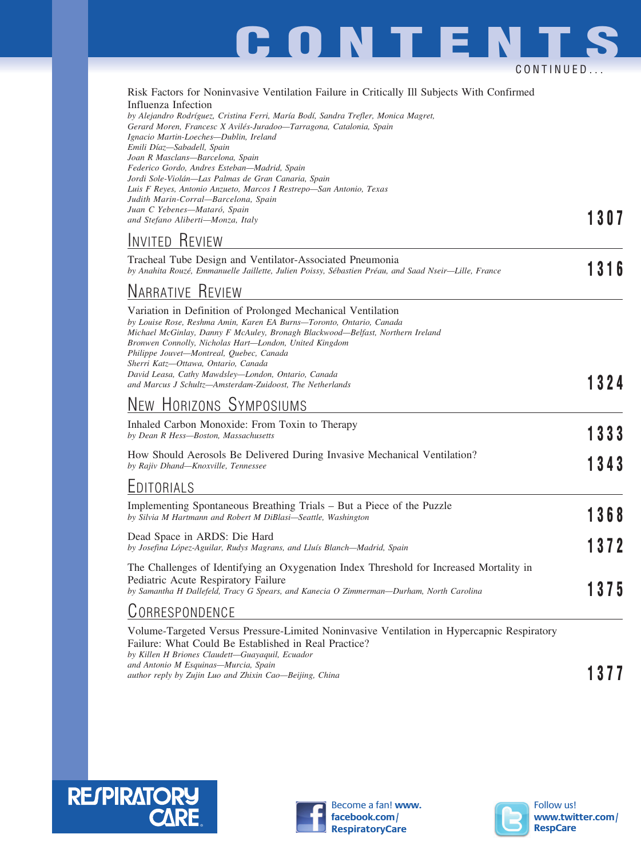

| Risk Factors for Noninvasive Ventilation Failure in Critically Ill Subjects With Confirmed |
|--------------------------------------------------------------------------------------------|
| Influenza Infection                                                                        |
| by Alejandro Rodríguez, Cristina Ferri, María Bodí, Sandra Trefler, Monica Magret,         |

*Gerard Moren, Francesc X Avile´s-Juradoo—Tarragona, Catalonia, Spain Ignacio Martin-Loeches—Dublin, Ireland Emili Díaz—Sabadell, Spain Joan R Masclans—Barcelona, Spain Federico Gordo, Andres Esteban—Madrid, Spain Jordi Sole-Viola´n—Las Palmas de Gran Canaria, Spain Luis F Reyes, Antonio Anzueto, Marcos I Restrepo—San Antonio, Texas Judith Marin-Corral—Barcelona, Spain Juan C Yebenes—Mataro´, Spain and Stefano Aliberti—Monza, Italy* **1307**

## INVITED REVIEW

| Tracheal Tube Design and Ventilator-Associated Pneumonia<br>by Anahita Rouzé, Emmanuelle Jaillette, Julien Poissy, Sébastien Préau, and Saad Nseir-Lille, France                                                                                                                                                                                                                                                                                                                      |      |  |  |
|---------------------------------------------------------------------------------------------------------------------------------------------------------------------------------------------------------------------------------------------------------------------------------------------------------------------------------------------------------------------------------------------------------------------------------------------------------------------------------------|------|--|--|
| <b>NARRATIVE REVIEW</b>                                                                                                                                                                                                                                                                                                                                                                                                                                                               |      |  |  |
| Variation in Definition of Prolonged Mechanical Ventilation<br>by Louise Rose, Reshma Amin, Karen EA Burns-Toronto, Ontario, Canada<br>Michael McGinlay, Danny F McAuley, Bronagh Blackwood—Belfast, Northern Ireland<br>Bronwen Connolly, Nicholas Hart-London, United Kingdom<br>Philippe Jouvet-Montreal, Quebec, Canada<br>Sherri Katz-Ottawa, Ontario, Canada<br>David Leasa, Cathy Mawdsley-London, Ontario, Canada<br>and Marcus J Schultz-Amsterdam-Zuidoost, The Netherlands | 1324 |  |  |
| NEW HORIZONS SYMPOSIUMS                                                                                                                                                                                                                                                                                                                                                                                                                                                               |      |  |  |
| Inhaled Carbon Monoxide: From Toxin to Therapy<br>by Dean R Hess-Boston, Massachusetts                                                                                                                                                                                                                                                                                                                                                                                                | 1333 |  |  |
| How Should Aerosols Be Delivered During Invasive Mechanical Ventilation?<br>by Rajiv Dhand-Knoxville, Tennessee                                                                                                                                                                                                                                                                                                                                                                       |      |  |  |
| EDITORIALS                                                                                                                                                                                                                                                                                                                                                                                                                                                                            |      |  |  |
| Implementing Spontaneous Breathing Trials – But a Piece of the Puzzle<br>by Silvia M Hartmann and Robert M DiBlasi-Seattle, Washington                                                                                                                                                                                                                                                                                                                                                | 1368 |  |  |
| Dead Space in ARDS: Die Hard<br>by Josefina López-Aguilar, Rudys Magrans, and Lluís Blanch—Madrid, Spain                                                                                                                                                                                                                                                                                                                                                                              | 1372 |  |  |
| The Challenges of Identifying an Oxygenation Index Threshold for Increased Mortality in<br>Pediatric Acute Respiratory Failure<br>by Samantha H Dallefeld, Tracy G Spears, and Kanecia O Zimmerman-Durham, North Carolina                                                                                                                                                                                                                                                             | 1375 |  |  |
| CORRESPONDENCE                                                                                                                                                                                                                                                                                                                                                                                                                                                                        |      |  |  |
| Volume-Targeted Versus Pressure-Limited Noninvasive Ventilation in Hypercapnic Respiratory                                                                                                                                                                                                                                                                                                                                                                                            |      |  |  |

Failure: What Could Be Established in Real Practice? *by Killen H Briones Claudett—Guayaquil, Ecuador and Antonio M Esquinas—Murcia, Spain* and Antonio *M Esquinas—Murcia, Spain*<br> *author reply by Zujin Luo and Zhixin Cao—Beijing, China* **1377**